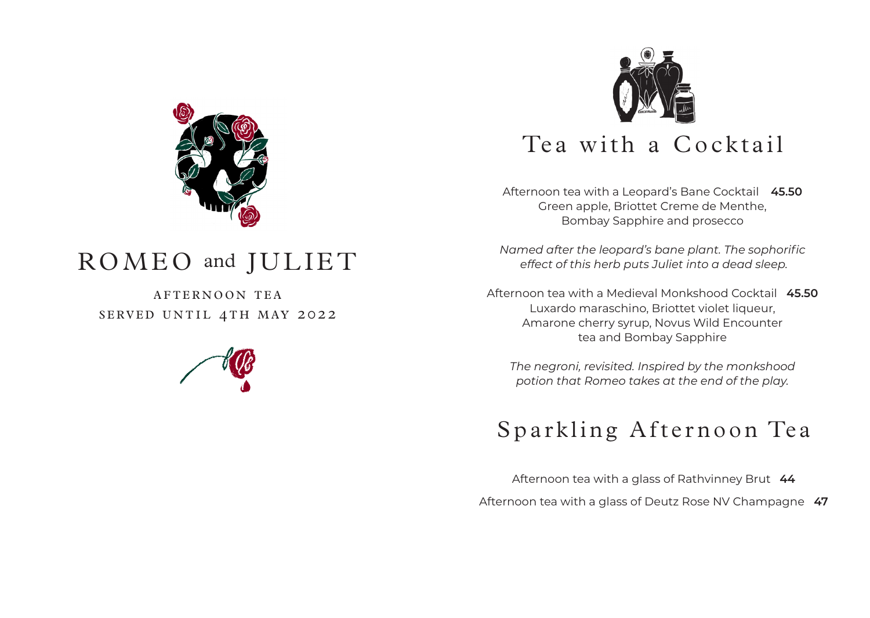

# ROMEO and JULIET

AFTERNOON TEA sERVED UNTIL 4TH mAY 2022





Afternoon tea with a Leopard's Bane Cocktail **45.50** Green apple, Briottet Creme de Menthe, Bombay Sapphire and prosecco

*Named after the leopard's bane plant. The sophorific effect of this herb puts Juliet into a dead sleep.*

Afternoon tea with a Medieval Monkshood Cocktail **45.50** Luxardo maraschino, Briottet violet liqueur, Amarone cherry syrup, Novus Wild Encounter tea and Bombay Sapphire

*The negroni, revisited. Inspired by the monkshood potion that Romeo takes at the end of the play.* 

# Sparkling Afternoon Tea

Afternoon tea with a glass of Rathvinney Brut **44** Afternoon tea with a glass of Deutz Rose NV Champagne **47**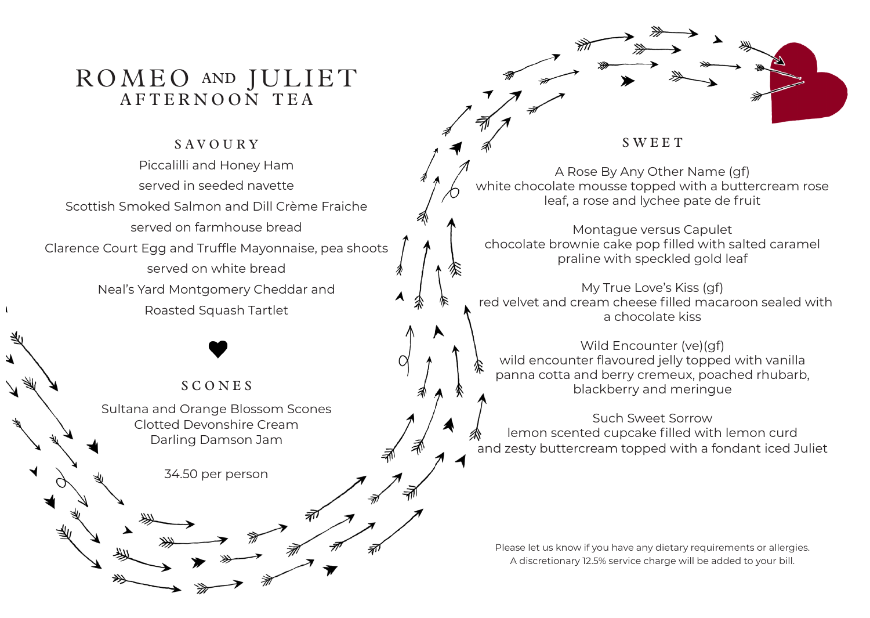### ROMEO and JULIET AFTERNOON TEA

### **SAVOURY**

Piccalilli and Honey Ham served in seeded navette Scottish Smoked Salmon and Dill Crème Fraiche served on farmhouse bread Clarence Court Egg and Truffle Mayonnaise, pea shoots served on white bread Neal's Yard Montgomery Cheddar and Roasted Squash Tartlet

### S CONEs

 $\overline{\mathbf{A}}$ 

Sultana and Orange Blossom Scones Clotted Devonshire Cream Darling Damson Jam

34.50 per person

**SWEET** 

A Rose By Any Other Name (gf) white chocolate mousse topped with a buttercream rose leaf, a rose and lychee pate de fruit

Montague versus Capulet chocolate brownie cake pop filled with salted caramel praline with speckled gold leaf

My True Love's Kiss (gf) red velvet and cream cheese filled macaroon sealed with a chocolate kiss

Wild Encounter (ve)(gf) wild encounter flavoured jelly topped with vanilla panna cotta and berry cremeux, poached rhubarb, blackberry and meringue

Such Sweet Sorrow lemon scented cupcake filled with lemon curd and zesty buttercream topped with a fondant iced Juliet

Please let us know if you have any dietary requirements or allergies. A discretionary 12.5% service charge will be added to your bill.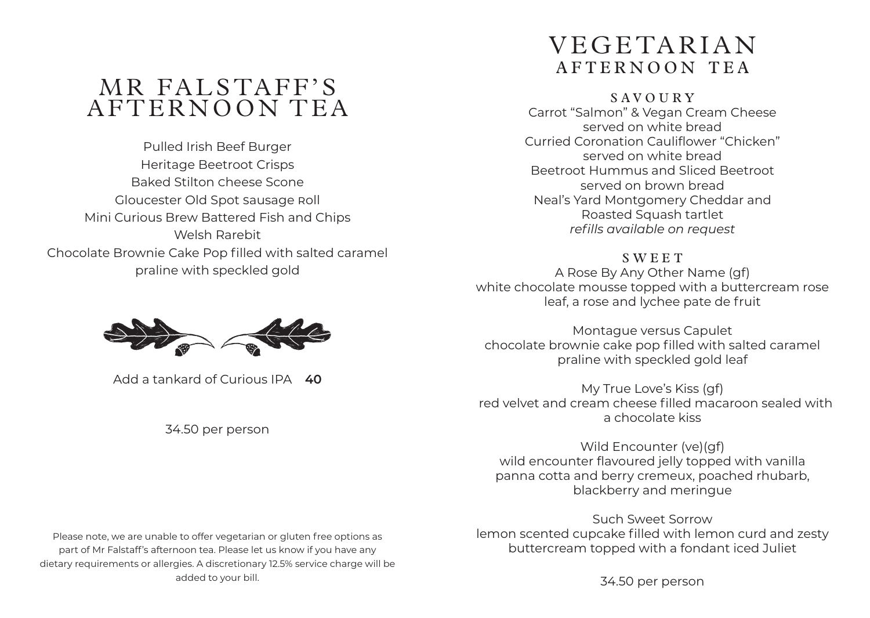## MR FALSTAFF'S AFTERNOON TEA

Pulled Irish Beef Burger Heritage Beetroot Crisps Baked Stilton Cheese Scone Gloucester Old Spot Sausage Roll Mini Curious Brew Battered Fish and Chips Welsh Rarebit Chocolate Brownie Cake Pop filled with salted caramel praline with speckled gold



Add a tankard of Curious IPA **40**

34.50 per person

Please note, we are unable to offer vegetarian or gluten free options as part of Mr Falstaff's afternoon tea. Please let us know if you have any dietary requirements or allergies. A discretionary 12.5% service charge will be

added to your bill.

## VEGETARIAN A F TERNOON TEA

### Savoury

Carrot "Salmon" & Vegan Cream Cheese served on white bread Curried Coronation Cauliflower "Chicken" served on white bread Beetroot Hummus and Sliced Beetroot served on brown bread Neal's Yard Montgomery Cheddar and Roasted Squash tartlet *refills available on request* 

#### **SWEET**

A Rose By Any Other Name (gf) white chocolate mousse topped with a buttercream rose leaf, a rose and lychee pate de fruit

Montague versus Capulet chocolate brownie cake pop filled with salted caramel praline with speckled gold leaf

My True Love's Kiss (gf) red velvet and cream cheese filled macaroon sealed with a chocolate kiss

Wild Encounter (ve)(gf) wild encounter flavoured jelly topped with vanilla panna cotta and berry cremeux, poached rhubarb, blackberry and meringue

Such Sweet Sorrow lemon scented cupcake filled with lemon curd and zesty buttercream topped with a fondant iced Juliet

34.50 per person